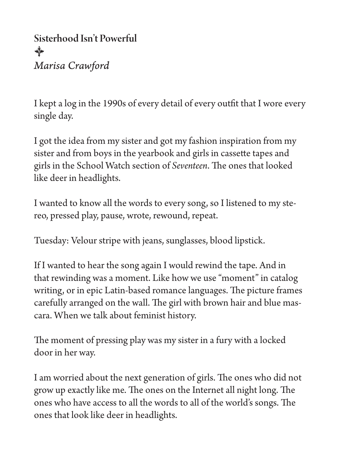Sisterhood Isn't Powerful  $\bigtriangledown$ *Marisa Crawford*

I kept a log in the 1990s of every detail of every outfit that I wore every single day.

I got the idea from my sister and got my fashion inspiration from my sister and from boys in the yearbook and girls in cassette tapes and girls in the School Watch section of *Seventeen*. The ones that looked like deer in headlights.

I wanted to know all the words to every song, so I listened to my stereo, pressed play, pause, wrote, rewound, repeat.

Tuesday: Velour stripe with jeans, sunglasses, blood lipstick.

If I wanted to hear the song again I would rewind the tape. And in that rewinding was a moment. Like how we use "moment" in catalog writing, or in epic Latin-based romance languages. The picture frames carefully arranged on the wall. The girl with brown hair and blue mascara. When we talk about feminist history.

The moment of pressing play was my sister in a fury with a locked door in her way.

I am worried about the next generation of girls. The ones who did not grow up exactly like me. The ones on the Internet all night long. The ones who have access to all the words to all of the world's songs. The ones that look like deer in headlights.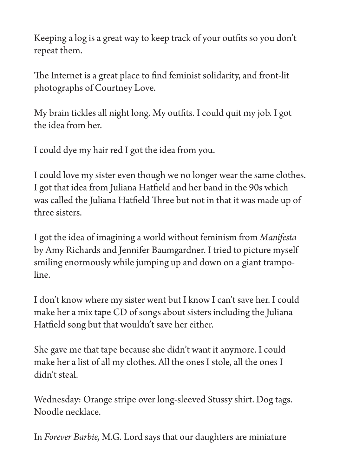Keeping a log is a great way to keep track of your outfits so you don't repeat them.

The Internet is a great place to find feminist solidarity, and front-lit photographs of Courtney Love.

My brain tickles all night long. My outfits. I could quit my job. I got the idea from her.

I could dye my hair red I got the idea from you.

I could love my sister even though we no longer wear the same clothes. I got that idea from Juliana Hatfield and her band in the 90s which was called the Juliana Hatfield Three but not in that it was made up of three sisters.

I got the idea of imagining a world without feminism from *Manifesta*  by Amy Richards and Jennifer Baumgardner. I tried to picture myself smiling enormously while jumping up and down on a giant trampoline.

I don't know where my sister went but I know I can't save her. I could make her a mix tape CD of songs about sisters including the Juliana Hatfield song but that wouldn't save her either.

She gave me that tape because she didn't want it anymore. I could make her a list of all my clothes. All the ones I stole, all the ones I didn't steal.

Wednesday: Orange stripe over long-sleeved Stussy shirt. Dog tags. Noodle necklace.

In *Forever Barbie,* M.G. Lord says that our daughters are miniature